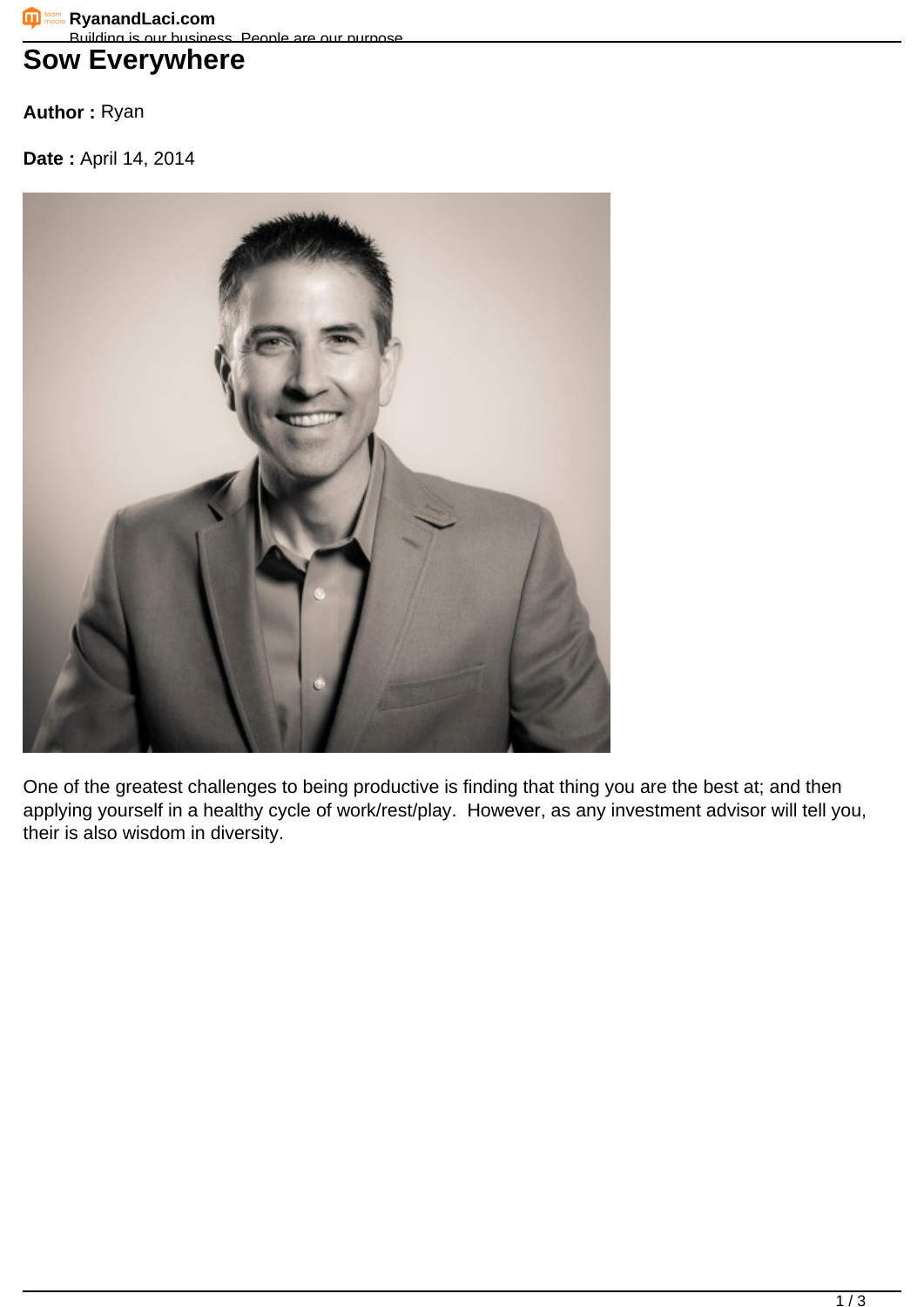**RyanandLaci.com** Building is our business. People are our purpose.

# **Sow Everywhere**

**Author :** Ryan

**Date :** April 14, 2014



One of the greatest challenges to being productive is finding that thing you are the best at; and then applying yourself in a healthy cycle of work/rest/play. However, as any investment advisor will tell you, their is also wisdom in diversity.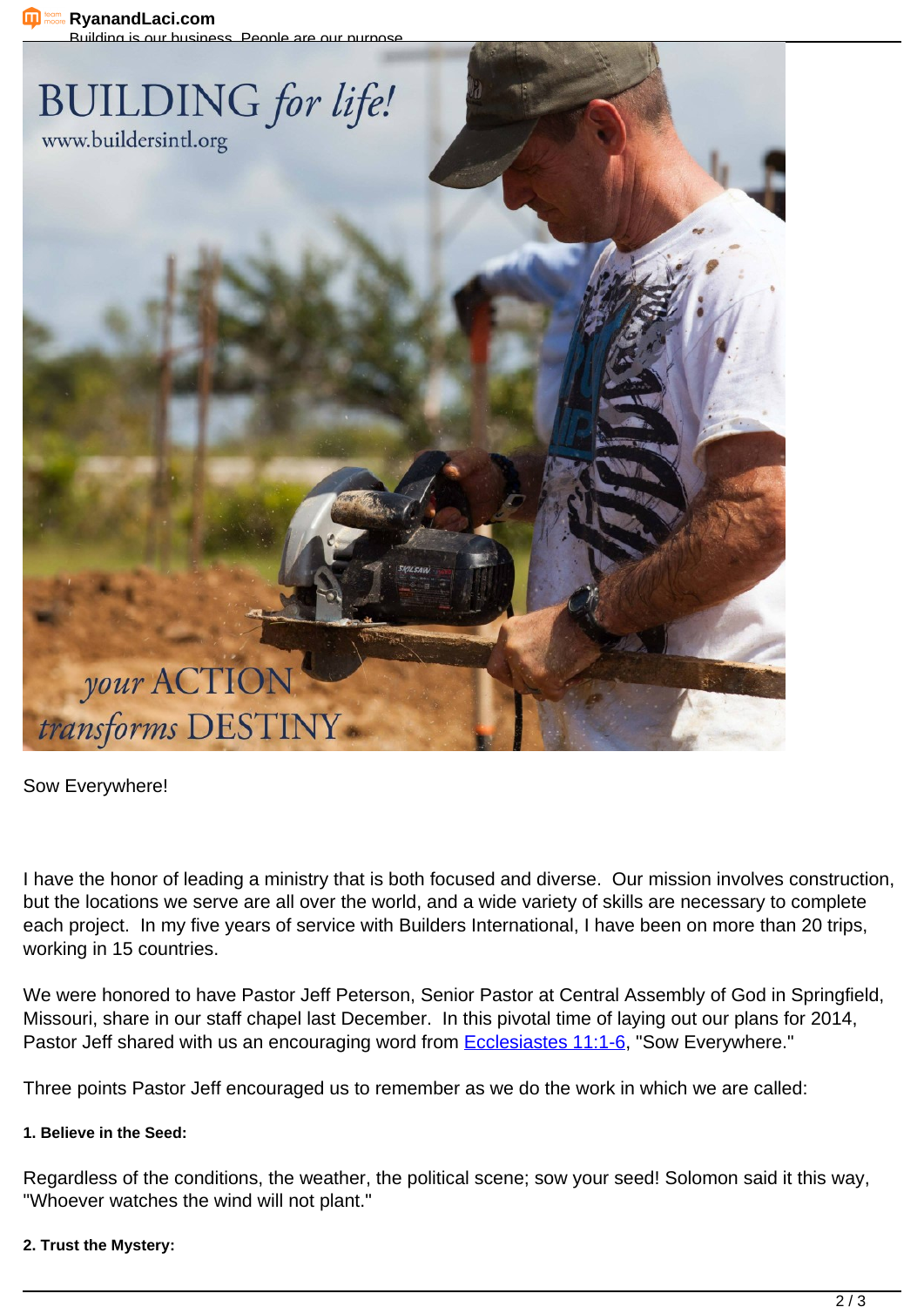

Sow Everywhere!

I have the honor of leading a ministry that is both focused and diverse. Our mission involves construction, but the locations we serve are all over the world, and a wide variety of skills are necessary to complete each project. In my five years of service with Builders International, I have been on more than 20 trips, working in 15 countries.

We were honored to have Pastor Jeff Peterson, Senior Pastor at Central Assembly of God in Springfield, Missouri, share in our staff chapel last December. In this pivotal time of laying out our plans for 2014, Pastor Jeff shared with us an encouraging word from **Ecclesiastes 11:1-6**, "Sow Everywhere."

Three points Pastor Jeff encouraged us to remember as we do the work in which we are called:

### **1. Believe in the Seed:**

Regardless of the conditions, the weather, the political scene; sow your seed! Solomon said it this way, "Whoever watches the wind will not plant."

#### **2. Trust the Mystery:**